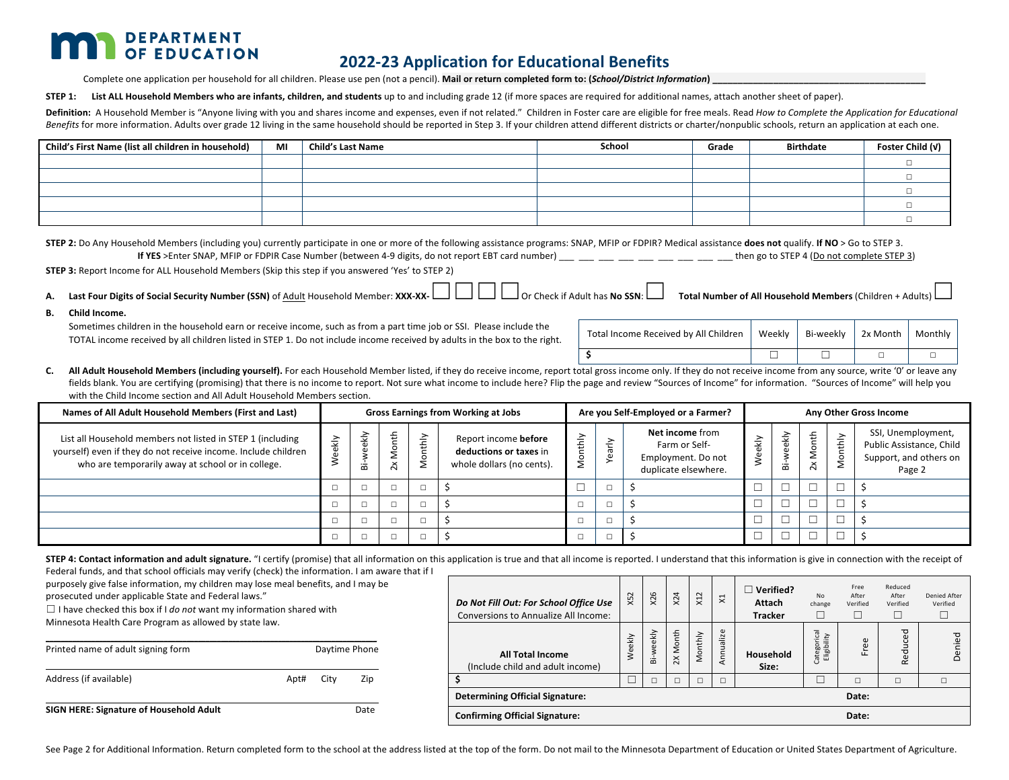# **DEPARTMENT** OF EDUCATION

## **2022-23 Application for Educational Benefits**

Complete one application per household for all children. Please use pen (not a pencil). Mail or return completed form to: (*School/District Information*)

**STEP 1:** List ALL Household Members who are infants, children, and students up to and including grade 12 (if more spaces are required for additional names, attach another sheet of paper).

Definition: A Household Member is "Anyone living with you and shares income and expenses, even if not related." Children in Foster care are eligible for free meals. Read How to Complete the Application for Educational Benefits for more information. Adults over grade 12 living in the same household should be reported in Step 3. If your children attend different districts or charter/nonpublic schools, return an application at each one.

| Child's First Name (list all children in household) | MI | <b>Child's Last Name</b> | School | Grade | <b>Birthdate</b> | Foster Child (v) |
|-----------------------------------------------------|----|--------------------------|--------|-------|------------------|------------------|
|                                                     |    |                          |        |       |                  |                  |
|                                                     |    |                          |        |       |                  |                  |
|                                                     |    |                          |        |       |                  |                  |
|                                                     |    |                          |        |       |                  |                  |
|                                                     |    |                          |        |       |                  |                  |

**STEP 2:** Do Any Household Members (including you) currently participate in one or more of the following assistance programs: SNAP, MFIP or FDPIR? Medical assistance **does not** qualify. If NO > Go to STEP 3. **If YES** >Enter SNAP, MFIP or FDPIR Case Number (between 4-9 digits, do not report EBT card number) \_\_\_ \_\_\_ \_\_\_ \_\_\_ \_\_\_ \_\_\_ \_\_\_ \_\_\_ \_\_\_ then go to STEP 4 (Do not complete STEP 3)

**STEP 3:** Report Income for ALL Household Members (Skip this step if you answered 'Yes' to STEP 2)

|  | A. Last Four Digits of Social Security Number (SSN) of Adult Household Member: XXX-XX-<br>A. Last Four Digits of Social Security Number (SSN) of Adult Household Member: XXX-XX- $\Box$ and Digits of Adult has No SSN: Total Number |  |
|--|--------------------------------------------------------------------------------------------------------------------------------------------------------------------------------------------------------------------------------------|--|
|--|--------------------------------------------------------------------------------------------------------------------------------------------------------------------------------------------------------------------------------------|--|

**B. Child Income.**

Sometimes children in the household earn or receive income, such as from a part time job or SSI. Please include the TOTAL income received by all children listed in STEP 1. Do not include income received by adults in the box to the right.

| Total Income Received by All Children   Weekly   Bi-weekly   2x Month   Monthly |  |  |
|---------------------------------------------------------------------------------|--|--|
|                                                                                 |  |  |

C. All Adult Household Members (including yourself). For each Household Member listed, if they do receive income, report total gross income only. If they do not receive income from any source, write '0' or leave any fields blank. You are certifying (promising) that there is no income to report. Not sure what income to include here? Flip the page and review "Sources of Income" for information. "Sources of Income" will help you with the Child Income section and All Adult Household Members section.

| Names of All Adult Household Members (First and Last)                                                                                                                             |   |           |                  |    | <b>Gross Earnings from Working at Jobs</b>                                  | Are you Self-Employed or a Farmer? |                |                                                                                       |      | Any Other Gross Income |                              |                |                                                                                    |  |  |
|-----------------------------------------------------------------------------------------------------------------------------------------------------------------------------------|---|-----------|------------------|----|-----------------------------------------------------------------------------|------------------------------------|----------------|---------------------------------------------------------------------------------------|------|------------------------|------------------------------|----------------|------------------------------------------------------------------------------------|--|--|
| List all Household members not listed in STEP 1 (including<br>yourself) even if they do not receive income. Include children<br>who are temporarily away at school or in college. | ₹ | ekly<br>ä | ŧ<br>$\tilde{z}$ | ΑĻ | Report income before<br>deductions or taxes in<br>whole dollars (no cents). | $\geq$<br>≖                        |                | <b>Net income from</b><br>Farm or Self-<br>Employment. Do not<br>duplicate elsewhere. | ekly | ₹<br>ā                 | ŧ<br>òr<br>2<br>$\mathsf{x}$ | <b>Aonthly</b> | SSI, Unemployment,<br>Public Assistance, Child<br>Support, and others on<br>Page 2 |  |  |
|                                                                                                                                                                                   |   | $\Box$    | $\Box$           |    |                                                                             |                                    | -              |                                                                                       |      |                        |                              |                |                                                                                    |  |  |
|                                                                                                                                                                                   |   |           |                  |    |                                                                             |                                    |                |                                                                                       |      |                        |                              |                |                                                                                    |  |  |
|                                                                                                                                                                                   |   |           | $\Box$           |    |                                                                             |                                    |                |                                                                                       |      |                        |                              |                |                                                                                    |  |  |
|                                                                                                                                                                                   |   | $\Box$    | $\Box$           |    |                                                                             |                                    | $\overline{a}$ |                                                                                       |      |                        | ى                            |                |                                                                                    |  |  |

STEP 4: Contact information and adult signature. "I certify (promise) that all information on this application is true and that all income is reported. I understand that this information is give in connection with the rece

Federal funds, and that school officials may verify (check) the information. I am aware that if I purposely give false information, my children may lose meal benefits, and I may be

prosecuted under applicable State and Federal laws."

 $\Box$  I have checked this box if I *do not* want my information shared with Minnesota Health Care Program as allowed by state law.

| Printed name of adult signing form      |      |      | Daytime Phone |
|-----------------------------------------|------|------|---------------|
| Address (if available)                  | Apt# | City | Zip           |
| SIGN HERE: Signature of Household Adult |      |      | Date          |

| Do Not Fill Out: For School Office Use<br><b>Conversions to Annualize All Income:</b> | X52    | X26       | x24      | X12     | ¤         | <b>Verified?</b><br>Attach<br><b>Tracker</b> | N <sub>0</sub><br>change   | Free<br>After<br>Verified | Reduced<br>After<br>Verified | <b>Denied After</b><br>Verified |
|---------------------------------------------------------------------------------------|--------|-----------|----------|---------|-----------|----------------------------------------------|----------------------------|---------------------------|------------------------------|---------------------------------|
| <b>All Total Income</b><br>(Include child and adult income)                           | Weekly | Bi-weekly | 2X Month | Monthly | Annualize | Household<br>Size:                           | Categorical<br>Eligibility | $\omega$<br>ဖ<br>ш.       | 5g<br>Reduce                 | Denied                          |
| Ŝ.                                                                                    |        | $\Box$    |          | □       | □         |                                              |                            | $\Box$                    | с                            | $\Box$                          |
| <b>Determining Official Signature:</b><br>Date:                                       |        |           |          |         |           |                                              |                            |                           |                              |                                 |
| <b>Confirming Official Signature:</b><br>Date:                                        |        |           |          |         |           |                                              |                            |                           |                              |                                 |

See Page 2 for Additional Information. Return completed form to the school at the address listed at the top of the form. Do not mail to the Minnesota Department of Education or United States Department of Agriculture.